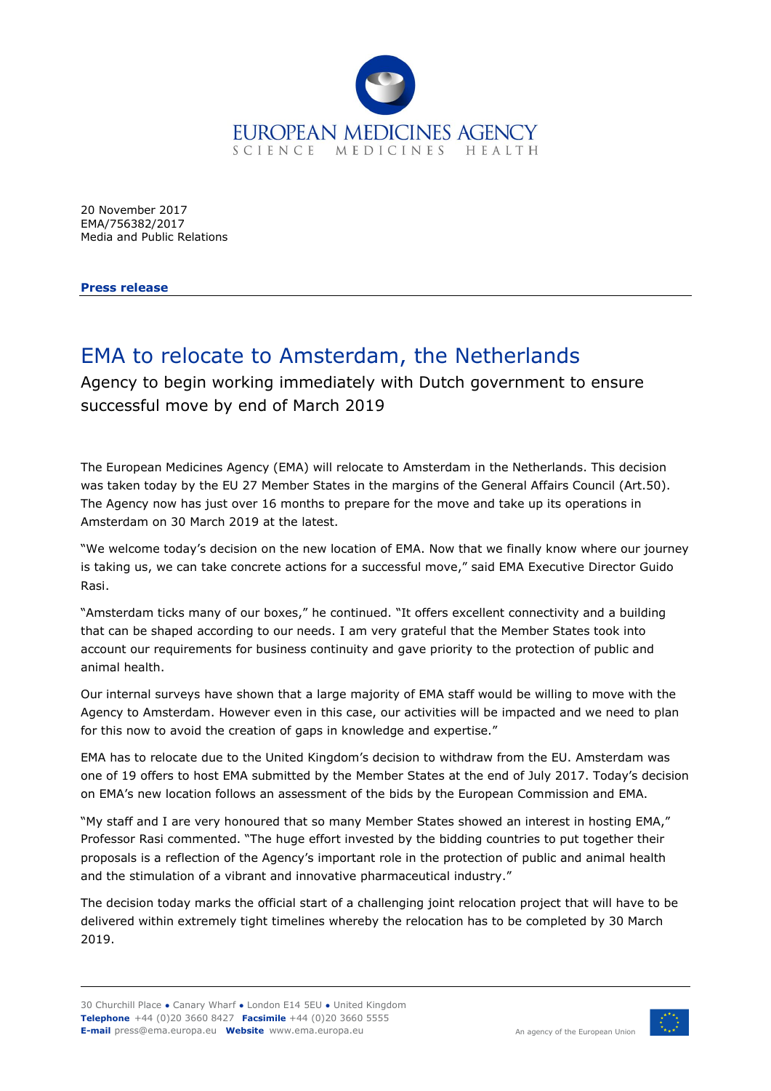

20 November 2017 EMA/756382/2017 Media and Public Relations

**Press release**

## EMA to relocate to Amsterdam, the Netherlands

Agency to begin working immediately with Dutch government to ensure successful move by end of March 2019

The European Medicines Agency (EMA) will relocate to Amsterdam in the Netherlands. This decision was taken today by the EU 27 Member States in the margins of the General Affairs Council (Art.50). The Agency now has just over 16 months to prepare for the move and take up its operations in Amsterdam on 30 March 2019 at the latest.

"We welcome today's decision on the new location of EMA. Now that we finally know where our journey is taking us, we can take concrete actions for a successful move," said EMA Executive Director Guido Rasi.

"Amsterdam ticks many of our boxes," he continued. "It offers excellent connectivity and a building that can be shaped according to our needs. I am very grateful that the Member States took into account our requirements for business continuity and gave priority to the protection of public and animal health.

Our internal surveys have shown that a large majority of EMA staff would be willing to move with the Agency to Amsterdam. However even in this case, our activities will be impacted and we need to plan for this now to avoid the creation of gaps in knowledge and expertise."

EMA has to relocate due to the United Kingdom's decision to withdraw from the EU. Amsterdam was one of 19 offers to host EMA submitted by the Member States at the end of July 2017. Today's decision on EMA's new location follows an assessment of the bids by the European Commission and EMA.

"My staff and I are very honoured that so many Member States showed an interest in hosting EMA," Professor Rasi commented. "The huge effort invested by the bidding countries to put together their proposals is a reflection of the Agency's important role in the protection of public and animal health and the stimulation of a vibrant and innovative pharmaceutical industry."

The decision today marks the official start of a challenging joint relocation project that will have to be delivered within extremely tight timelines whereby the relocation has to be completed by 30 March 2019.